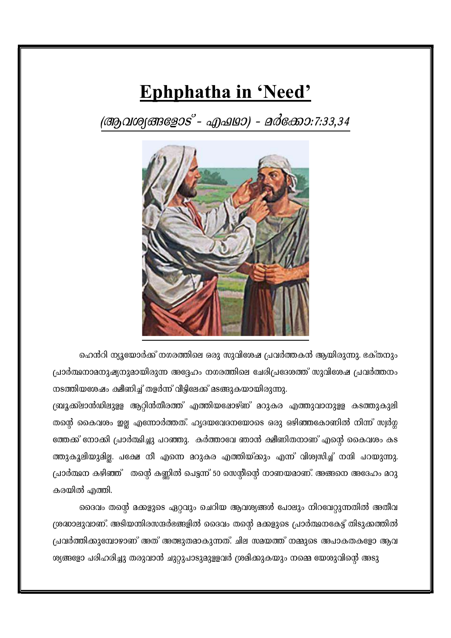## Ephphatha in 'Need'

(ആവശ്യങ്ങളോട് - എഷമാ) - മർക്കോ:7:33,34



ഹെൻറി ന്യൂയോർക്ക് നഗരത്തിലെ ഒരു സുവിശേഷ പ്രവർത്തകൻ ആയിരുന്നു. ഭക്തനും പ്രാർത്ഥനാമനുഷ്യനുമായിരുന്ന അദ്ദേഹം നഗരത്തിലെ ചേരിപ്രദേശത്ത് സുവിശേഷ പ്രവർത്തനം നടത്തിയശേഷം ക്ഷീണിച്ച് തളർന്ന് വീട്ടിലേക്ക് മടങ്ങുകയായിരുന്നു.

ബ്രൂക്ക്ലാൻഡിലുളള ആറ്റിൻതീരത്ത് എത്തിയപ്പോഴ്ണ് മറുകര എത്തുവാനുളള കടത്തുകുലി തന്റെ കൈവശം ഇല്ല എന്നോർത്തത്. ഹൃദയവേദനയോടെ ഒരു ഒഴിഞ്ഞകോണിൽ നിന്ന് സ്വർഗ്ഗ ത്തേക്ക് നോക്കി പ്രാർത്ഥിച്ചു പറഞ്ഞു. കർത്താവേ ഞാൻ ക്ഷീണിതനാണ് എന്റെ കൈവശം കട ത്തുകൂലിയുമില്ല. പക്ഷേ നീ എന്നെ മറുകര എത്തിയ്ക്കും എന്ന് വിശ്വസിച്ച് നന്ദി പറയുന്നു. പ്രാർത്ഥന കഴിഞ്ഞ് നന്റൈ കണ്ണിൽ പെട്ടന്ന് 50 സെന്റിന്റെ നാണയമാണ്. അങ്ങനെ അദേഹം മറു കരയിൽ എത്തി.

ദൈവം തന്റെ മക്കളുടെ ഏറ്റവും ചെറിയ ആവശ്യങ്ങൾ പോലും നിറവേറ്റുന്നതിൽ അതീവ ശ്രദ്ധാലുവാണ്. അടിയന്തിരസന്ദർഭങ്ങളിൽ ദൈവം തന്റെ മക്കളുടെ പ്രാർത്ഥനകേട്ട് തിടുക്കത്തിൽ പ്രവർത്തിക്കുമ്പോഴാണ് അത് അത്ഭുതമാകുന്നത്. ചില സമയത്ത് നമ്മുടെ അപാകതകളോ ആവ ശ്യങ്ങളോ പരിഹരിച്ചു തരുവാൻ ചുറ്റുപാടുമുളളവർ ശ്രമിക്കുകയും നമ്മെ യേശുവിന്റെ അടു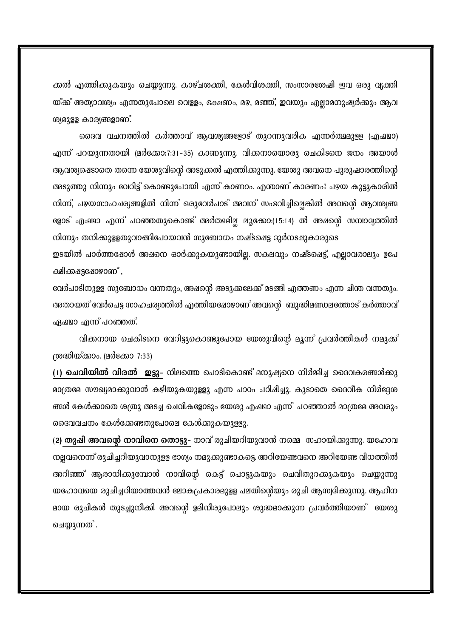ക്കൽ എത്തിക്കുകയും ചെയ്യുന്നു. കാഴ്ചശക്തി, കേൾവിശക്തി, സംസാരശേഷി ഇവ ഒരു വ്യക്തി യ്ക്ക് അത്യാവശ്യം എന്നതുപോലെ വെള്ളം, ഭക്ഷണം, മഴ, മഞ്ഞ്, ഇവയും എല്ലാമനുഷ്യർക്കും ആവ ശ്യമുളള കാര്യങ്ങളാണ്.

ദൈവ വചനത്തിൽ കർത്താവ് ആവശ്യങ്ങളോട് തുറന്നുവരിക എന്നർത്ഥമുളള (എഷഥാ) എന്ന് പറയുന്നതായി (മർക്കോ:7:31-35) കാണുന്നു. വിക്കനായൊരു ചെകിടനെ ജനം അയാൾ ആവശ്യക്ഷെടാതെ തന്നെ യേശുവിന്റെ അടുക്കൽ എത്തിക്കുന്നു. യേശു അവനെ പുരുഷാരത്തിന്റെ അടുത്തു നിന്നും വേറിട്ട് കൊണ്ടുപോയി എന്ന് കാണാം. എന്താണ് കാരണം? പഴയ കുട്ടുകാരിൽ നിന്ന്, പഴയസാഹചര്യങ്ങളിൽ നിന്ന് ഒരുവേർപാട് അവന് സംഭവിച്ചില്ലെങ്കിൽ അവന്റെ ആവശ്യങ്ങ ളോട് എഷഥാ എന്ന് പറഞ്ഞതുകൊണ്ട് അർത്ഥമില്ല ലൂക്കോ:(15:14) ൽ അഷന്റെ സമ്പാദ്യത്തിൽ നിന്നും തനിക്കുള്ളതുവാങ്ങിപോയവൻ സുബോധം നഷ്ടപ്പെട്ട ദുർനടഷുകാരുടെ

ഇടയിൽ പാർത്തഷോൾ അഷനെ ഓർക്കുകയുണ്ടായില്ല. സകലവും നഷ്ടപ്പെട്ട്, എല്ലാവരാലും ഉപേ ക്ഷിക്കപ്പട്ടപ്പോഴാണ് ,

വേർപാടിനുളള സുബോധം വന്നതും, അഷന്റെ അടുക്കലേക്ക് മടങ്ങി എത്തണം എന്ന ചിന്ത വന്നതും. അതായത് വേർപെട്ട സാഹചര്യത്തിൽ എത്തിയഷോഴാണ് അവന്റെ ബുദ്ധിമണ്ഡലത്തോട് കർത്താവ് ഏഷമാ എന്ന് പറഞ്ഞത്.

വിക്കനായ ചെകിടനെ വേറിട്ടുകൊണ്ടുപോയ യേശുവിന്റെ മൂന്ന് പ്രവർത്തികൾ നമുക്ക് (ശദ്ധിയ്ക്കാം. (മർക്കോ 7:33)

(1) **ചെവിയിൽ വിരൽ ഇട്ടു**- നിലത്തെ പൊടികൊണ്ട് മനുഷ്യനെ നിർമ്മിച്ച ദൈവകരങ്ങൾക്കു മാത്രമേ സൗഖ്യമാക്കുവാൻ കഴിയുകയുളളു എന്ന പാഠം പഠിഷിച്ചു. കുടാതെ ദൈവീക നിർദ്ദേശ ങ്ങൾ കേൾക്കാതെ ശത്രു അടച്ച ചെവികളോടും യേശു എഷ്യാ എന്ന് പറഞ്ഞാൽ മാത്രമേ അവരും ദൈവവചനം കേൾക്കേണ്ടതുപോലെ കേൾക്കുകയുള്ളു.

(2) തുഷി അവന്റെ നാവിനെ തൊട്ടു- നാവ് രുചിയറിയുവാൻ നമ്മെ സഹായിക്കുന്നു. യഹോവ നല്ലവനെന്ന് രുചിച്ചറിയുവാനുളള ഭാഗ്യം നമുക്കുണ്ടാകട്ടെ. അറിയേണ്ടവനെ അറിയേണ്ട വിധത്തിൽ അറിഞ്ഞ് ആരാധിക്കുമ്പോൾ നാവിന്റെ കെട്ട് പൊട്ടുകയും ചെവിതുറക്കുകയും ചെയ്യുന്നു യഹോവയെ രുചിച്ചറിയാത്തവൻ ലോകപ്രകാരമുളള പലതിന്റെയും രുചി ആസ്വദിക്കുന്നു. ആഹീന മായ രുചികൾ തുടച്ചുനീക്കി അവന്റെ ഉമിനീരുപോലും ശുദ്ധമാക്കുന്ന പ്രവർത്തിയാണ് യേശു ചെയ്യുന്നത് .